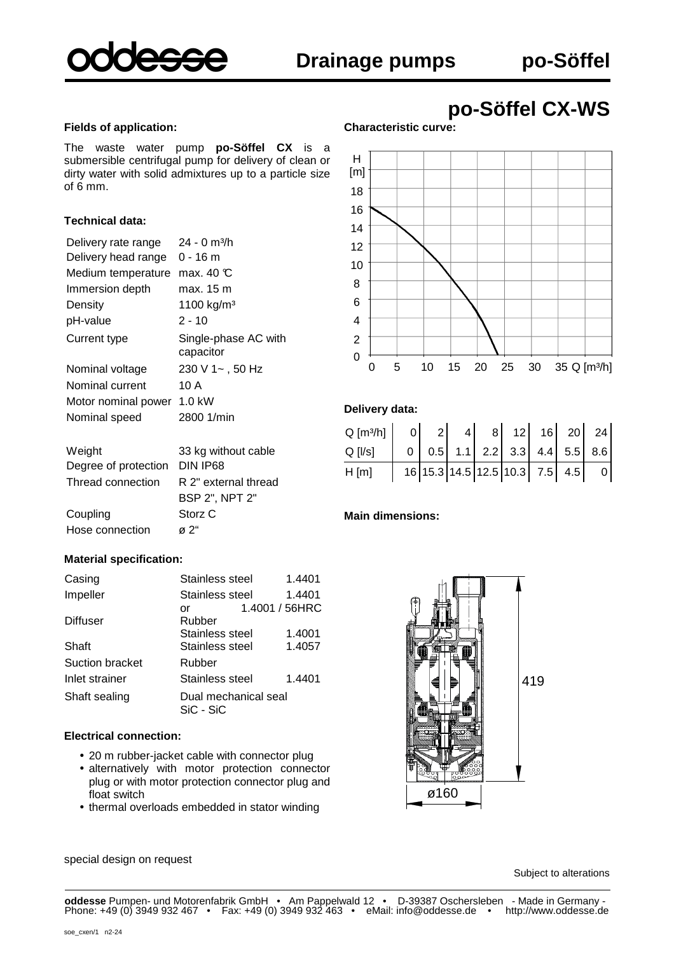

#### **Fields of application:**

The waste water pump **po-Söffel CX** is a submersible centrifugal pump for delivery of clean or dirty water with solid admixtures up to a particle size of 6 mm.

#### **Technical data:**

| Delivery rate range  | 24 - 0 m <sup>3</sup> /h          |
|----------------------|-----------------------------------|
| Delivery head range  | $0 - 16$ m                        |
| Medium temperature   | max. $40 \text{ }\%$              |
| Immersion depth      | max. 15 m                         |
| Density              | 1100 kg/m <sup>3</sup>            |
| pH-value             | $2 - 10$                          |
| Current type         | Single-phase AC with<br>capacitor |
| Nominal voltage      | 230 V 1~ , 50 Hz                  |
| Nominal current      | 10 A                              |
| Motor nominal power  | $1.0$ kW                          |
| Nominal speed        | 2800 1/min                        |
| Weight               | 33 kg without cable               |
| Degree of protection | DIN IP68                          |
| Thread connection    | R 2" external thread              |
|                      | BSP 2", NPT 2"                    |
| Coupling             | Storz C                           |

## **Material specification:**

Hose connection  $\qquad \varnothing$  2"

| Casing          | Stainless steel                   | 1.4401         |
|-----------------|-----------------------------------|----------------|
| Impeller        | Stainless steel                   | 1.4401         |
|                 | or                                | 1.4001 / 56HRC |
| <b>Diffuser</b> | Rubber                            |                |
|                 | Stainless steel                   | 1.4001         |
| Shaft           | Stainless steel                   | 1.4057         |
| Suction bracket | Rubber                            |                |
| Inlet strainer  | Stainless steel                   | 1.4401         |
| Shaft sealing   | Dual mechanical seal<br>SiC - SiC |                |

#### **Electrical connection:**

- 20 m rubber-jacket cable with connector plug
- alternatively with motor protection connector plug or with motor protection connector plug and float switch
- thermal overloads embedded in stator winding

# **po-Söffel CX-WS**

#### **Characteristic curve:**



#### **Delivery data:**

| $Q[m^3/h]$ 0 2 4 8 12 16 20 24                                                        |  |  |  |                                                                            |
|---------------------------------------------------------------------------------------|--|--|--|----------------------------------------------------------------------------|
| $Q$ [ /s] $\begin{bmatrix} 0 & 0.5 & 1.1 & 2.2 & 3.3 & 4.4 & 5.5 & 8.6 \end{bmatrix}$ |  |  |  |                                                                            |
| H[m]                                                                                  |  |  |  | $\begin{bmatrix} 16 & 15.3 & 14.5 & 12.5 & 10.3 & 7.5 & 4.5 \end{bmatrix}$ |

#### **Main dimensions:**



#### special design on request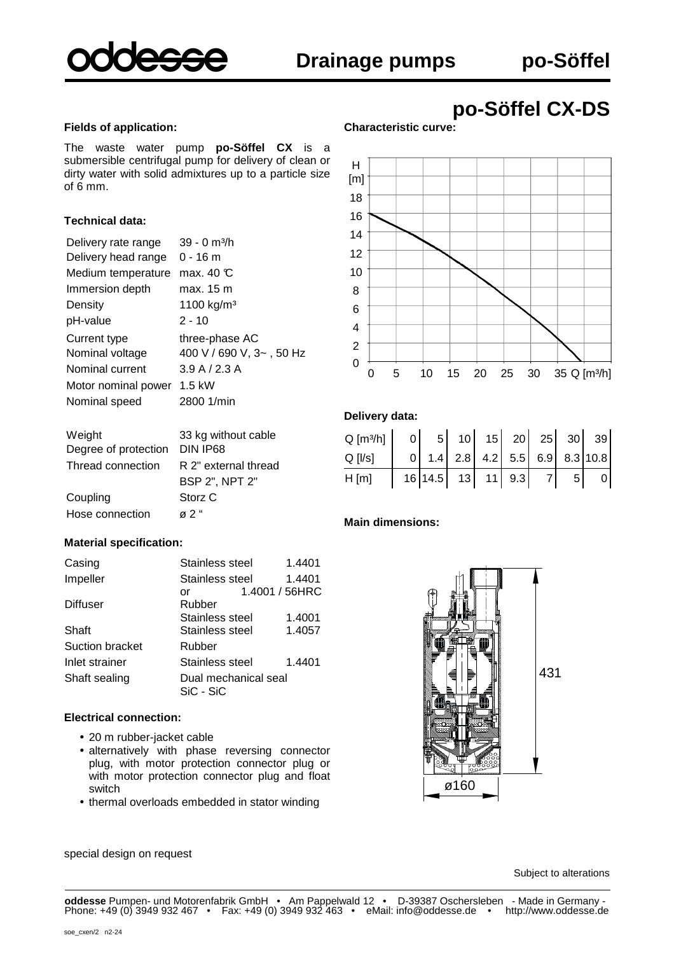

**Characteristic curve:**

**po-Söffel CX-DS**

#### **Fields of application:**

The waste water pump **po-Söffel CX** is a submersible centrifugal pump for delivery of clean or dirty water with solid admixtures up to a particle size of 6 mm.

#### **Technical data:**

| Delivery rate range<br>Delivery head range                                                 | $39 - 0$ m <sup>3</sup> /h<br>0 - 16 m                                                 |
|--------------------------------------------------------------------------------------------|----------------------------------------------------------------------------------------|
| Medium temperature                                                                         | max, $40 \text{ }^{\circ}\text{C}$                                                     |
| Immersion depth                                                                            | max. 15 m                                                                              |
| Density                                                                                    | 1100 kg/m <sup>3</sup>                                                                 |
| pH-value                                                                                   | $2 - 10$                                                                               |
| Current type<br>Nominal voltage<br>Nominal current<br>Motor nominal power<br>Nominal speed | three-phase AC<br>400 V / 690 V, $3-$ , 50 Hz<br>3.9 A / 2.3 A<br>1.5 kW<br>2800 1/min |
|                                                                                            |                                                                                        |

| Weight               | 33 kg without cable   |
|----------------------|-----------------------|
| Degree of protection | DIN IP68              |
| Thread connection    | R 2" external thread  |
|                      | <b>BSP 2", NPT 2"</b> |
| Coupling             | Storz C               |
| Hose connection      | a 2"                  |

#### **Material specification:**

| Casing          | Stainless steel                   | 1.4401 |
|-----------------|-----------------------------------|--------|
| Impeller        | Stainless steel                   | 1.4401 |
|                 | 1.4001 / 56HRC<br>or              |        |
| <b>Diffuser</b> | Rubber                            |        |
|                 | Stainless steel                   | 1.4001 |
| Shaft           | Stainless steel                   | 1.4057 |
| Suction bracket | Rubber                            |        |
| Inlet strainer  | Stainless steel                   | 1.4401 |
| Shaft sealing   | Dual mechanical seal<br>SiC - SiC |        |

#### **Electrical connection:**

- 20 m rubber-jacket cable
- alternatively with phase reversing connector plug, with motor protection connector plug or with motor protection connector plug and float switch
- thermal overloads embedded in stator winding



#### **Delivery data:**

| $Q \text{ [m3/h]}$ 0 5 10 15 20 25 30 39<br>$Q \text{ [l/s]}$ 0 1.4 2.8 4.2 5.5 6.9 8.3 10.8 |  |  |  |  |
|----------------------------------------------------------------------------------------------|--|--|--|--|
|                                                                                              |  |  |  |  |
| H[m]                                                                                         |  |  |  |  |

#### **Main dimensions:**



special design on request

soe\_cxen/2 n2-24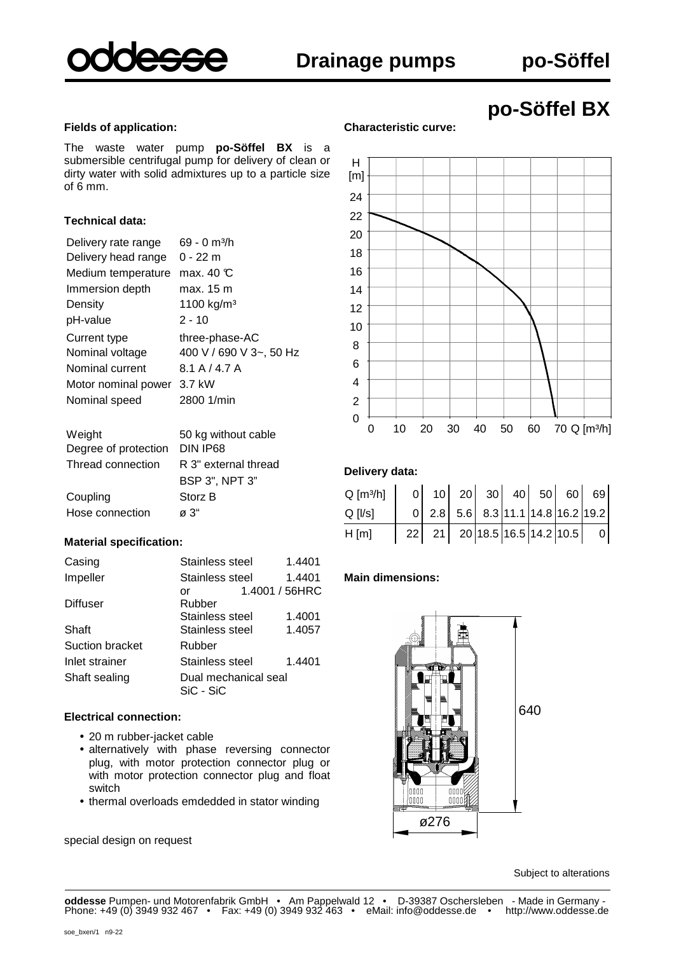

**po-Söffel BX**

#### **Fields of application:**

The waste water pump **po-Söffel BX** is a submersible centrifugal pump for delivery of clean or dirty water with solid admixtures up to a particle size of 6 mm.

#### **Technical data:**

| Delivery rate range<br>Delivery head range | $69 - 0$ m <sup>3</sup> /h<br>0 - 22 m |
|--------------------------------------------|----------------------------------------|
| Medium temperature                         | max. $40 \text{ C}$                    |
| Immersion depth                            | max. 15 m                              |
| Density                                    | 1100 kg/m <sup>3</sup>                 |
| pH-value                                   | $2 - 10$                               |
| Current type                               | three-phase-AC                         |
| Nominal voltage                            | 400 V / 690 V 3~, 50 Hz                |
| Nominal current                            | 8.1 A / 4.7 A                          |
| Motor nominal power 3.7 kW                 |                                        |
| Nominal speed                              | 2800 1/min                             |
| Weight<br>Degree of protection             | 50 kg without cable<br>DIN IP68        |

| Degree of protection DIN IP68 |                       |
|-------------------------------|-----------------------|
| Thread connection             | R 3" external thread  |
|                               | <b>BSP 3", NPT 3"</b> |
| Coupling                      | Storz B               |
| Hose connection               | ø 3"                  |

#### **Material specification:**

| Casing          | Stainless steel                   | 1.4401 |
|-----------------|-----------------------------------|--------|
| Impeller        | Stainless steel                   | 1.4401 |
|                 | 1.4001 / 56HRC<br>or              |        |
| <b>Diffuser</b> | Rubber                            |        |
|                 | Stainless steel                   | 1.4001 |
| Shaft           | Stainless steel                   | 1.4057 |
| Suction bracket | Rubber                            |        |
| Inlet strainer  | Stainless steel                   | 1.4401 |
| Shaft sealing   | Dual mechanical seal<br>SiC - SiC |        |

#### **Electrical connection:**

- 20 m rubber-jacket cable
- alternatively with phase reversing connector plug, with motor protection connector plug or with motor protection connector plug and float switch
- thermal overloads emdedded in stator winding

special design on request

## **Characteristic curve:**



#### **Delivery data:**

| $Q[m^3/h]$ 0 10 20 30 40 50 60 69 |  |  |  |                                                                          |
|-----------------------------------|--|--|--|--------------------------------------------------------------------------|
| $Q$ [ $ $ / $S$ ]                 |  |  |  | $ 0 $ 2.8 5.6 8.3 11.1 14.8 16.2 19.2                                    |
| H[m]                              |  |  |  | $22 \begin{bmatrix} 21 & 20 & 18.5 & 16.5 & 14.2 & 10.5 \end{bmatrix}$ 0 |

#### **Main dimensions:**

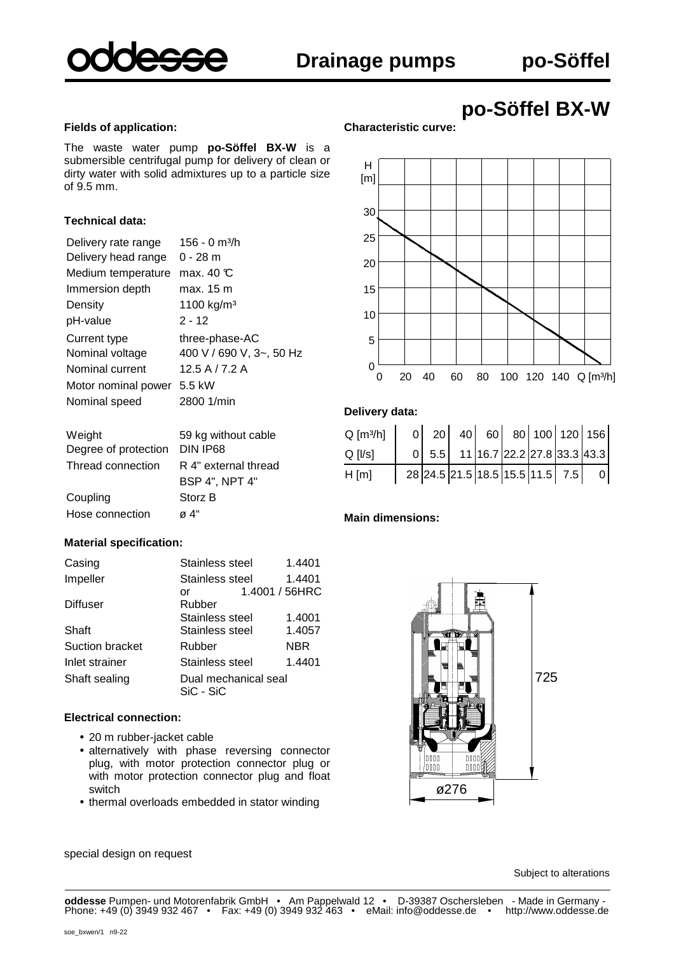

**Characteristic curve:**

# **po-Söffel BX-W**

#### **Fields of application:**

The waste water pump **po-Söffel BX-W** is a submersible centrifugal pump for delivery of clean or dirty water with solid admixtures up to a particle size of 9.5 mm.

#### **Technical data:**

| max. $40 \text{ }\%$<br>Medium temperature<br>Immersion depth<br>max. 15 m<br>1100 kg/m <sup>3</sup><br>Density<br>$2 - 12$<br>pH-value<br>three-phase-AC<br>Current type<br>400 V / 690 V, 3~, 50 Hz<br>Nominal voltage<br>12.5 A $/$ 7.2 A<br>Nominal current<br>Motor nominal power 5.5 kW<br>2800 1/min<br>Nominal speed | Delivery rate range<br>Delivery head range | $156 - 0$ m <sup>3</sup> /h<br>$0 - 28$ m |
|------------------------------------------------------------------------------------------------------------------------------------------------------------------------------------------------------------------------------------------------------------------------------------------------------------------------------|--------------------------------------------|-------------------------------------------|
|                                                                                                                                                                                                                                                                                                                              |                                            |                                           |
|                                                                                                                                                                                                                                                                                                                              |                                            |                                           |
|                                                                                                                                                                                                                                                                                                                              |                                            |                                           |
|                                                                                                                                                                                                                                                                                                                              |                                            |                                           |

| Weight               | 59 kg without cable   |
|----------------------|-----------------------|
| Degree of protection | DIN IP68              |
| Thread connection    | R 4" external thread  |
|                      | <b>BSP 4", NPT 4"</b> |
| Coupling             | Storz B               |
| Hose connection      | ø 4"                  |

#### **Material specification:**

| Casing          | Stainless steel                   | 1.4401 |
|-----------------|-----------------------------------|--------|
| Impeller        | Stainless steel                   | 1.4401 |
|                 | 1.4001 / 56HRC<br>or              |        |
| <b>Diffuser</b> | Rubber                            |        |
|                 | Stainless steel                   | 1.4001 |
| Shaft           | Stainless steel                   | 1.4057 |
| Suction bracket | Rubber                            | NBR    |
| Inlet strainer  | Stainless steel                   | 1.4401 |
| Shaft sealing   | Dual mechanical seal<br>SiC - SiC |        |

#### **Electrical connection:**

- 20 m rubber-jacket cable
- alternatively with phase reversing connector plug, with motor protection connector plug or with motor protection connector plug and float switch
- thermal overloads embedded in stator winding



#### **Delivery data:**

| $Q [m^3/h]$   |  |  |  | $0 \mid 20 \mid 40 \mid 60 \mid 80 \mid 100 \mid 120 \mid 156$ |
|---------------|--|--|--|----------------------------------------------------------------|
| $Q$ [ $ $ /s] |  |  |  | $0$ 5.5 11 16.7 22.2 27.8 33.3 43.3                            |
| H[m]          |  |  |  | 28 24.5 21.5 18.5 15.5 11.5 7.5 0                              |

#### **Main dimensions:**



Subject to alterations

special design on request

**oddesse** Pumpen- und Motorenfabrik GmbH • Am Pappelwald 12 • D-39387 Oschersleben - Made in Germany - Phone: +49 (0) 3949 932 467 • Fax: +49 (0) 3949 932 463 • eMail: info@oddesse.de • http://www.oddesse.de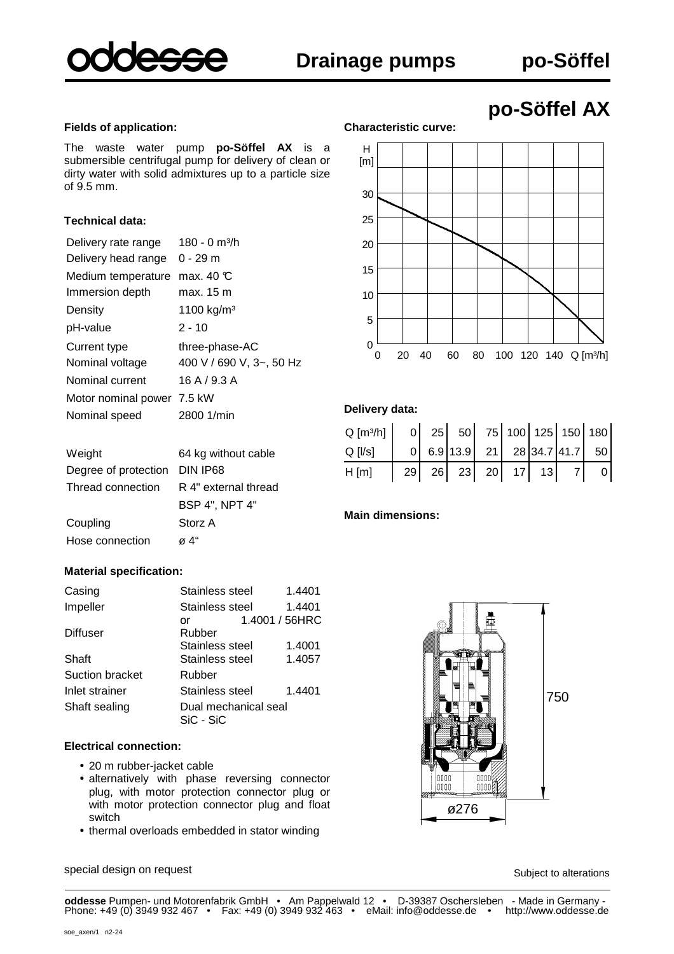

**po-Söffel AX**

#### **Fields of application:**

The waste water pump **po-Söffel AX** is a submersible centrifugal pump for delivery of clean or dirty water with solid admixtures up to a particle size of 9.5 mm.

#### **Technical data:**

| Delivery rate range        | 180 - 0 m <sup>3</sup> /h |
|----------------------------|---------------------------|
| Delivery head range        | 0 - 29 m                  |
| Medium temperature         | max. 40 $\mathbb C$       |
| Immersion depth            | max. 15 m                 |
| Density                    | 1100 kg/m <sup>3</sup>    |
| pH-value                   | $2 - 10$                  |
| Current type               | three-phase-AC            |
| Nominal voltage            | 400 V / 690 V, 3~, 50 Hz  |
| Nominal current            | 16 A / 9.3 A              |
| Motor nominal power 7.5 kW |                           |
| Nominal speed              | 2800 1/min                |
| Weight                     | 64 kg without cable       |
| Degree of protection       | DIN IP68                  |
| Thread connection          | R 4" external thread      |

#### **Characteristic curve:**



#### **Delivery data:**

| Q [m <sup>3</sup> /h] |  |                   |  | $ 0 $ 25 50 75 100 125 150 180                                              |                |
|-----------------------|--|-------------------|--|-----------------------------------------------------------------------------|----------------|
| $Q$ [ $ $ / $S$ ]     |  |                   |  | $\begin{bmatrix} 0 & 6.9 & 13.9 & 21 & 28 & 34.7 & 41.7 & 50 \end{bmatrix}$ |                |
| H[m]                  |  | 29 26 23 20 17 13 |  |                                                                             | $\overline{0}$ |

#### **Main dimensions:**



Hose connection ø 4" Coupling Storz A

| Stainless steel                   | 1.4401 |
|-----------------------------------|--------|
| Stainless steel                   | 1.4401 |
| 1.4001 / 56HRC<br>or              |        |
| Rubber                            |        |
| Stainless steel                   | 1.4001 |
| Stainless steel                   | 1.4057 |
| Rubber                            |        |
| Stainless steel                   | 1.4401 |
| Dual mechanical seal<br>SiC - SiC |        |
|                                   |        |

BSP 4", NPT 4"

#### **Electrical connection:**

- 20 m rubber-jacket cable
- alternatively with phase reversing connector plug, with motor protection connector plug or with motor protection connector plug and float switch
- thermal overloads embedded in stator winding

special design on request

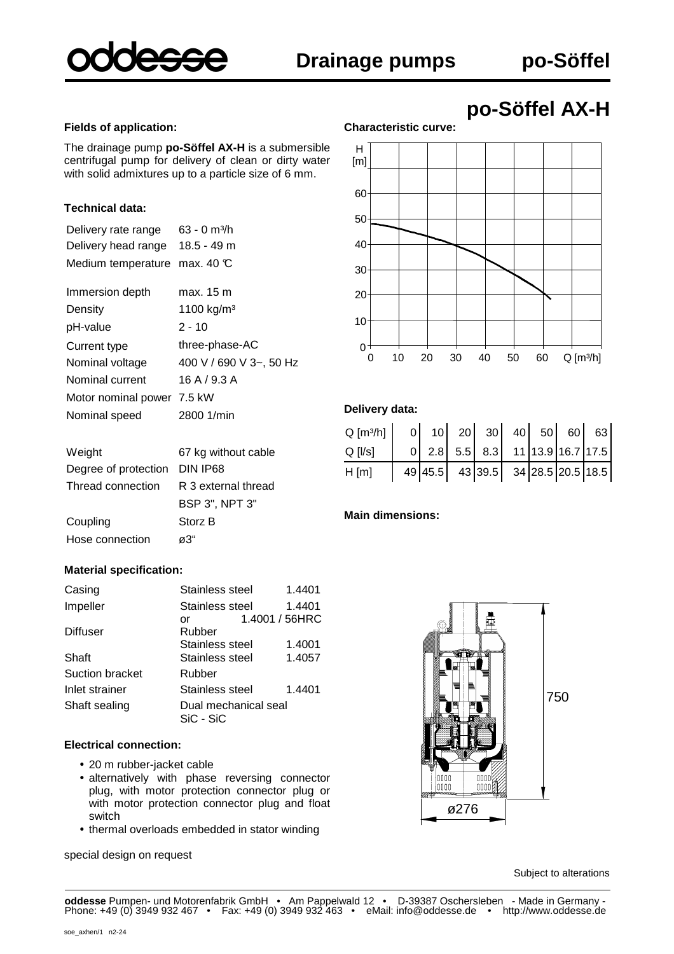

**po-Söffel AX-H**

#### **Fields of application:**

The drainage pump **po-Söffel AX-H** is a submersible centrifugal pump for delivery of clean or dirty water with solid admixtures up to a particle size of 6 mm.

#### **Technical data:**

| Delivery rate range                                           | 63 - 0 m <sup>3</sup> /h<br>18.5 - 49 m |
|---------------------------------------------------------------|-----------------------------------------|
| Delivery head range<br>Medium temperature max. 40 $\mathbb C$ |                                         |
|                                                               |                                         |
| Immersion depth                                               | max. 15 m                               |
| Density                                                       | 1100 kg/m <sup>3</sup>                  |
| pH-value                                                      | $2 - 10$                                |
| <b>Current type</b>                                           | three-phase-AC                          |
| Nominal voltage                                               | 400 V / 690 V 3~, 50 Hz                 |
| Nominal current                                               | 16A/9.3A                                |
| Motor nominal power 7.5 kW                                    |                                         |
| Nominal speed                                                 | 2800 1/min                              |
| Weight                                                        | 67 kg without cable                     |
| Degree of protection                                          | DIN IP68                                |

### **Characteristic curve:**



#### **Delivery data:**

| Q [m <sup>3</sup> /h] |  |  |  | $ 0 $ 10 20 30 40 50 60 63           |
|-----------------------|--|--|--|--------------------------------------|
| $Q$ [ $ $ /s]         |  |  |  | $0$ 2.8 5.5 8.3 11 13.9 16.7 17.5    |
| H[m]                  |  |  |  | $49 45.5 $ 43 39.5 34 28.5 20.5 18.5 |

**Main dimensions:**



Subject to alterations

| Weight               | 67 kg without cable   |
|----------------------|-----------------------|
| Degree of protection | DIN IP68              |
| Thread connection    | R 3 external thread   |
|                      | <b>BSP 3", NPT 3"</b> |
| Coupling             | Storz B               |
| Hose connection      | а3"                   |
|                      |                       |

#### **Material specification:**

| Casing          | Stainless steel                   | 1.4401 |
|-----------------|-----------------------------------|--------|
| Impeller        | Stainless steel                   | 1.4401 |
|                 | 1.4001 / 56HRC<br>or              |        |
| <b>Diffuser</b> | Rubber                            |        |
|                 | Stainless steel                   | 1.4001 |
| Shaft           | Stainless steel                   | 1.4057 |
| Suction bracket | Rubber                            |        |
| Inlet strainer  | Stainless steel                   | 1.4401 |
| Shaft sealing   | Dual mechanical seal<br>SiC - SiC |        |

#### **Electrical connection:**

- 20 m rubber-jacket cable
- alternatively with phase reversing connector plug, with motor protection connector plug or with motor protection connector plug and float switch
- thermal overloads embedded in stator winding

special design on request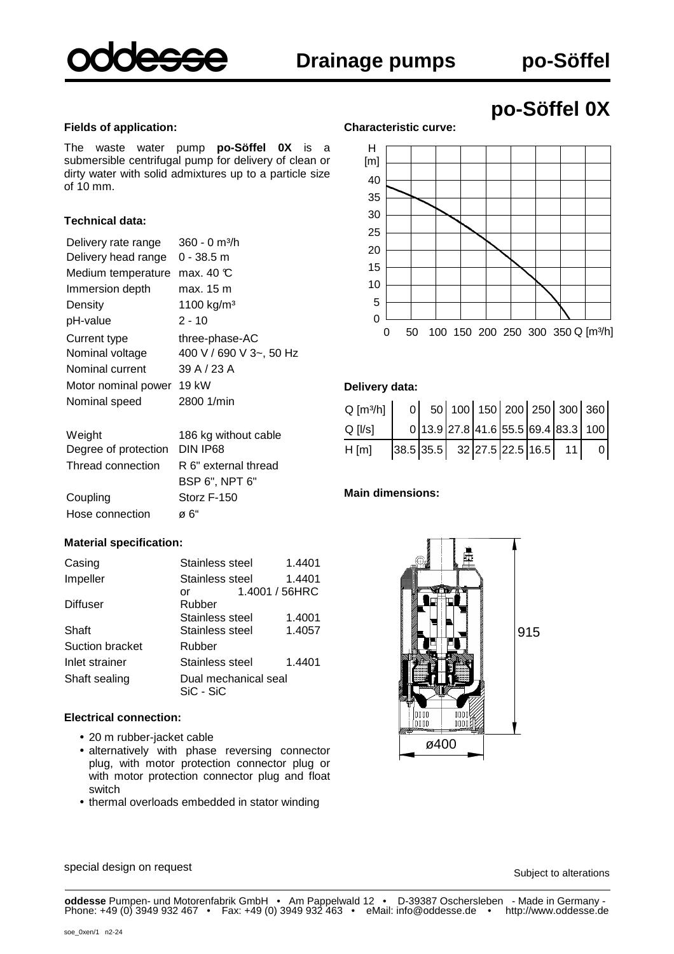

**po-Söffel 0X**

#### **Fields of application:**

The waste water pump **po-Söffel 0X** is a submersible centrifugal pump for delivery of clean or dirty water with solid admixtures up to a particle size of 10 mm.

#### **Technical data:**

| Delivery rate range | $360 - 0$ m <sup>3</sup> /h |
|---------------------|-----------------------------|
| Delivery head range | $0 - 38.5$ m                |
| Medium temperature  | max. 40 $\mathbb C$         |
| Immersion depth     | max. 15 m                   |
| Density             | 1100 kg/m <sup>3</sup>      |
| pH-value            | $2 - 10$                    |
| Current type        | three-phase-AC              |
| Nominal voltage     | 400 V / 690 V 3~, 50 Hz     |
| Nominal current     | 39 A / 23 A                 |
| Motor nominal power | 19 kW                       |
| Nominal speed       | 2800 1/min                  |
| Weight              | 186 kg without cable        |

## **Characteristic curve:**



#### **Delivery data:**

| $Q$ [m <sup>3</sup> /h] $ $ |  |  |  |                                                                                                 | $0 \mid 50 \mid 100 \mid 150 \mid 200 \mid 250 \mid 300 \mid 360 \mid$ |
|-----------------------------|--|--|--|-------------------------------------------------------------------------------------------------|------------------------------------------------------------------------|
| $Q$ [ $ $ /s]               |  |  |  |                                                                                                 | 0 13.9 27.8 41.6 55.5 69.4 83.3 100                                    |
| H[m]                        |  |  |  | $\overline{38.5}$ $\overline{35.5}$ $\overline{32}$ $\overline{27.5}$ $\overline{22.5}$ 16.5 11 | $\circ$                                                                |

#### **Main dimensions:**



#### **Material specification:**

Hose connection ø 6"

Coupling Storz F-150

Degree of protection DIN IP68

Thread connection R 6" external thread

| Casing          | Stainless steel                   | 1.4401 |
|-----------------|-----------------------------------|--------|
| Impeller        | Stainless steel                   | 1.4401 |
|                 | 1.4001 / 56HRC<br>or              |        |
| <b>Diffuser</b> | Rubber                            |        |
|                 | Stainless steel                   | 1.4001 |
| Shaft           | Stainless steel                   | 1.4057 |
| Suction bracket | Rubber                            |        |
| Inlet strainer  | Stainless steel                   | 1.4401 |
| Shaft sealing   | Dual mechanical seal<br>SiC - SiC |        |

BSP 6", NPT 6"

#### **Electrical connection:**

- 20 m rubber-jacket cable
- alternatively with phase reversing connector plug, with motor protection connector plug or with motor protection connector plug and float switch
- thermal overloads embedded in stator winding

special design on request